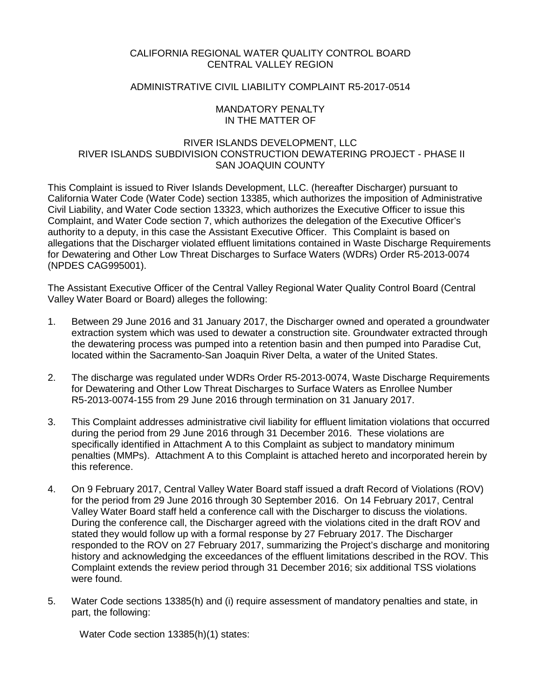## CALIFORNIA REGIONAL WATER QUALITY CONTROL BOARD CENTRAL VALLEY REGION

# ADMINISTRATIVE CIVIL LIABILITY COMPLAINT R5-2017-0514

## MANDATORY PENALTY IN THE MATTER OF

# RIVER ISLANDS SUBDIVISION CONSTRUCTION DEWATERING PROJECT - PHASE II SAN JOAQUIN COUNTY RIVER ISLANDS DEVELOPMENT, LLC

 authority to a deputy, in this case the Assistant Executive Officer. This Complaint is based on This Complaint is issued to River Islands Development, LLC. (hereafter Discharger) pursuant to California Water Code (Water Code) section 13385, which authorizes the imposition of Administrative Civil Liability, and Water Code section 13323, which authorizes the Executive Officer to issue this Complaint, and Water Code section 7, which authorizes the delegation of the Executive Officer's allegations that the Discharger violated effluent limitations contained in Waste Discharge Requirements for Dewatering and Other Low Threat Discharges to Surface Waters (WDRs) Order R5-2013-0074 (NPDES CAG995001).

 The Assistant Executive Officer of the Central Valley Regional Water Quality Control Board (Central Valley Water Board or Board) alleges the following:

- extraction system which was used to dewater a construction site. Groundwater extracted through 1. Between 29 June 2016 and 31 January 2017, the Discharger owned and operated a groundwater the dewatering process was pumped into a retention basin and then pumped into Paradise Cut, located within the Sacramento-San Joaquin River Delta, a water of the United States.
- 2. The discharge was regulated under WDRs Order R5-2013-0074, Waste Discharge Requirements R5-2013-0074-155 from 29 June 2016 through termination on 31 January 2017. for Dewatering and Other Low Threat Discharges to Surface Waters as Enrollee Number
- 3. during the period from 29 June 2016 through 31 December 2016. These violations are this reference. This Complaint addresses administrative civil liability for effluent limitation violations that occurred specifically identified in Attachment A to this Complaint as subject to mandatory minimum penalties (MMPs). Attachment A to this Complaint is attached hereto and incorporated herein by
- for the period from 29 June 2016 through 30 September 2016. On 14 February 2017, Central 4. On 9 February 2017, Central Valley Water Board staff issued a draft Record of Violations (ROV) Valley Water Board staff held a conference call with the Discharger to discuss the violations. During the conference call, the Discharger agreed with the violations cited in the draft ROV and stated they would follow up with a formal response by 27 February 2017. The Discharger responded to the ROV on 27 February 2017, summarizing the Project's discharge and monitoring history and acknowledging the exceedances of the effluent limitations described in the ROV. This Complaint extends the review period through 31 December 2016; six additional TSS violations were found.
- 5. Water Code sections 13385(h) and (i) require assessment of mandatory penalties and state, in part, the following:

Water Code section 13385(h)(1) states: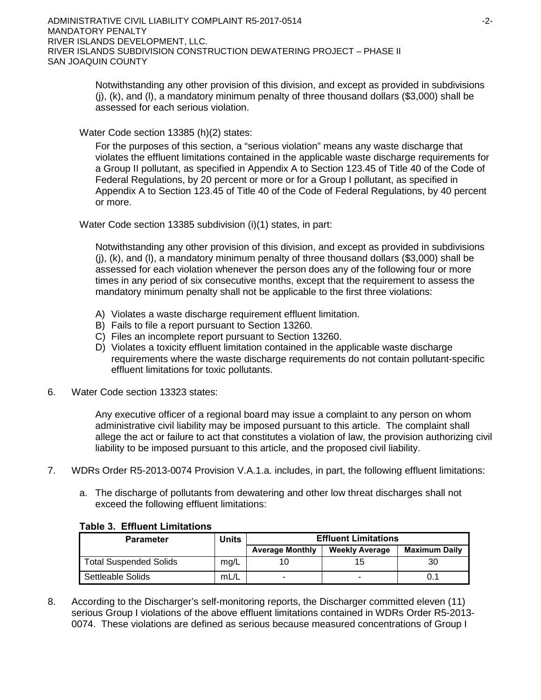Notwithstanding any other provision of this division, and except as provided in subdivisions  $(i)$ ,  $(k)$ , and  $(l)$ , a mandatory minimum penalty of three thousand dollars (\$3,000) shall be assessed for each serious violation.

Water Code section 13385 (h)(2) states:

 violates the effluent limitations contained in the applicable waste discharge requirements for Federal Regulations, by 20 percent or more or for a Group I pollutant, as specified in Appendix A to Section 123.45 of Title 40 of the Code of Federal Regulations, by 40 percent For the purposes of this section, a "serious violation" means any waste discharge that a Group II pollutant, as specified in Appendix A to Section 123.45 of Title 40 of the Code of or more.

Water Code section 13385 subdivision (i)(1) states, in part:

 assessed for each violation whenever the person does any of the following four or more times in any period of six consecutive months, except that the requirement to assess the Notwithstanding any other provision of this division, and except as provided in subdivisions (j), (k), and (l), a mandatory minimum penalty of three thousand dollars (\$3,000) shall be mandatory minimum penalty shall not be applicable to the first three violations:

- A) Violates a waste discharge requirement effluent limitation.
- B) Fails to file a report pursuant to Section 13260.
- C) Files an incomplete report pursuant to Section 13260.
- D) Violates a toxicity effluent limitation contained in the applicable waste discharge requirements where the waste discharge requirements do not contain pollutant-specific effluent limitations for toxic pollutants.
- 6. Water Code section 13323 states:

 administrative civil liability may be imposed pursuant to this article. The complaint shall Any executive officer of a regional board may issue a complaint to any person on whom allege the act or failure to act that constitutes a violation of law, the provision authorizing civil liability to be imposed pursuant to this article, and the proposed civil liability.

- 7. WDRs Order R5-2013-0074 Provision V.A.1.a. includes, in part, the following effluent limitations:
	- a. The discharge of pollutants from dewatering and other low threat discharges shall not exceed the following effluent limitations:

# **Table 3. Effluent Limitations**

| <b>Parameter</b>              | <b>Units</b> | <b>Effluent Limitations</b> |                       |                      |  |
|-------------------------------|--------------|-----------------------------|-----------------------|----------------------|--|
|                               |              | <b>Average Monthly</b>      | <b>Weekly Average</b> | <b>Maximum Daily</b> |  |
| <b>Total Suspended Solids</b> | mg/L         |                             | 15                    | 30                   |  |
| Settleable Solids             | mL/L         | -                           |                       |                      |  |

8. According to the Discharger's self-monitoring reports, the Discharger committed eleven (11) 0074. These violations are defined as serious because measured concentrations of Group I serious Group I violations of the above effluent limitations contained in WDRs Order R5-2013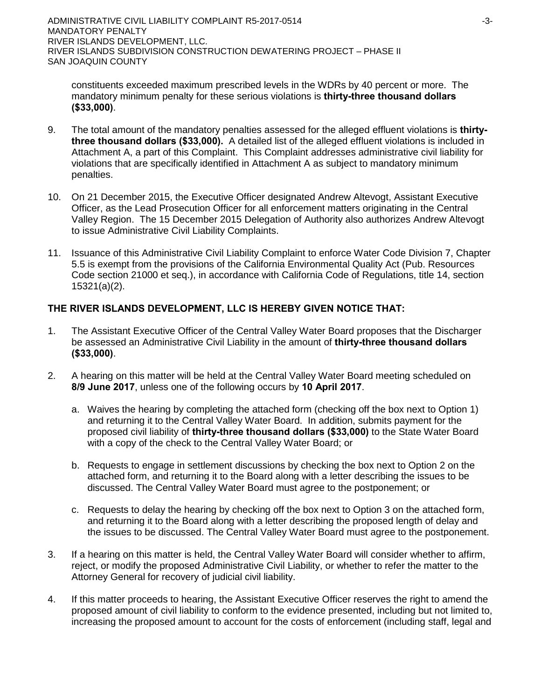RIVER ISLANDS SUBDIVISION CONSTRUCTION DEWATERING PROJECT – PHASE II SAN JOAQUIN COUNTY ADMINISTRATIVE CIVIL LIABILITY COMPLAINT R5-2017-0514 COMPLAINT R5-2017-0514 MANDATORY PENALTY RIVER ISLANDS DEVELOPMENT, LLC.

constituents exceeded maximum prescribed levels in the WDRs by 40 percent or more. The mandatory minimum penalty for these serious violations is **thirty-three thousand dollars (\$33,000)**.

- 9. The total amount of the mandatory penalties assessed for the alleged effluent violations is **thirty- three thousand dollars (\$33,000).** A detailed list of the alleged effluent violations is included in Attachment A, a part of this Complaint. This Complaint addresses administrative civil liability for penalties. violations that are specifically identified in Attachment A as subject to mandatory minimum
- 10. On 21 December 2015, the Executive Officer designated Andrew Altevogt, Assistant Executive Officer, as the Lead Prosecution Officer for all enforcement matters originating in the Central Valley Region. The 15 December 2015 Delegation of Authority also authorizes Andrew Altevogt to issue Administrative Civil Liability Complaints.
- 5.5 is exempt from the provisions of the California Environmental Quality Act (Pub. Resources 11. Issuance of this Administrative Civil Liability Complaint to enforce Water Code Division 7, Chapter Code section 21000 et seq.), in accordance with California Code of Regulations, title 14, section 15321(a)(2).

# **THE RIVER ISLANDS DEVELOPMENT, LLC IS HEREBY GIVEN NOTICE THAT:**

- 1. The Assistant Executive Officer of the Central Valley Water Board proposes that the Discharger be assessed an Administrative Civil Liability in the amount of **thirty-three thousand dollars (\$33,000)**.
- 2. A hearing on this matter will be held at the Central Valley Water Board meeting scheduled on **8/9 June 2017**, unless one of the following occurs by **10 April 2017**.
	- and returning it to the Central Valley Water Board. In addition, submits payment for the with a copy of the check to the Central Valley Water Board; or a. Waives the hearing by completing the attached form (checking off the box next to Option 1) proposed civil liability of **thirty-three thousand dollars (\$33,000)** to the State Water Board
	- attached form, and returning it to the Board along with a letter describing the issues to be b. Requests to engage in settlement discussions by checking the box next to Option 2 on the discussed. The Central Valley Water Board must agree to the postponement; or
	- c. Requests to delay the hearing by checking off the box next to Option 3 on the attached form, and returning it to the Board along with a letter describing the proposed length of delay and the issues to be discussed. The Central Valley Water Board must agree to the postponement.
- 3. If a hearing on this matter is held, the Central Valley Water Board will consider whether to affirm, Attorney General for recovery of judicial civil liability. reject, or modify the proposed Administrative Civil Liability, or whether to refer the matter to the
- increasing the proposed amount to account for the costs of enforcement (including staff, legal and 4. If this matter proceeds to hearing, the Assistant Executive Officer reserves the right to amend the proposed amount of civil liability to conform to the evidence presented, including but not limited to,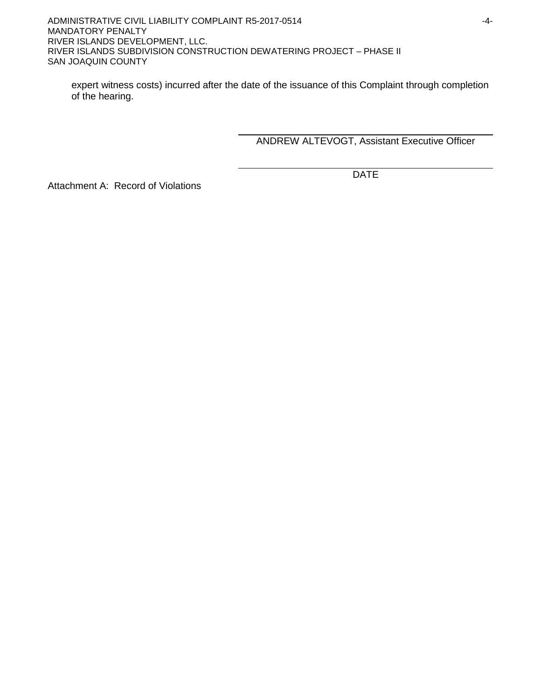expert witness costs) incurred after the date of the issuance of this Complaint through completion of the hearing.

ANDREW ALTEVOGT, Assistant Executive Officer

Attachment A: Record of Violations

DATE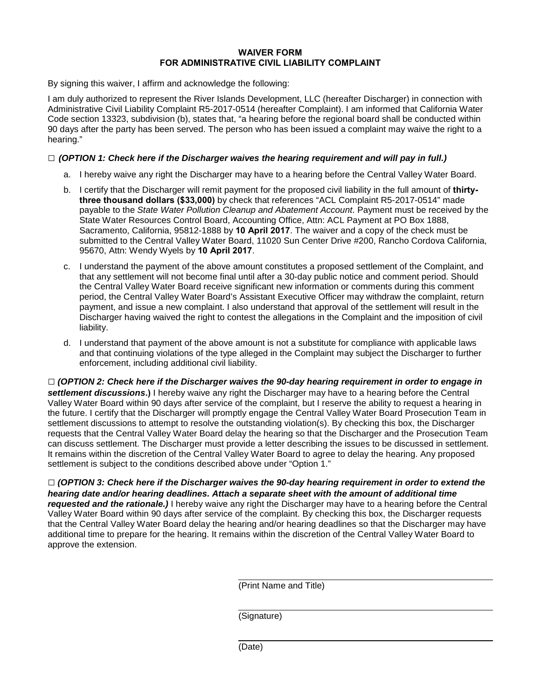#### **WAIVER FORM FOR ADMINISTRATIVE CIVIL LIABILITY COMPLAINT**

By signing this waiver, I affirm and acknowledge the following:

 90 days after the party has been served. The person who has been issued a complaint may waive the right to a I am duly authorized to represent the River Islands Development, LLC (hereafter Discharger) in connection with Administrative Civil Liability Complaint R5-2017-0514 (hereafter Complaint). I am informed that California Water Code section 13323, subdivision (b), states that, "a hearing before the regional board shall be conducted within hearing."

## **□** *(OPTION 1: Check here if the Discharger waives the hearing requirement and will pay in full.)*

- a. I hereby waive any right the Discharger may have to a hearing before the Central Valley Water Board.
- b. I certify that the Discharger will remit payment for the proposed civil liability in the full amount of **thirty-** State Water Resources Control Board, Accounting Office, Attn: ACL Payment at PO Box 1888, Sacramento, California, 95812-1888 by **10 April 2017**. The waiver and a copy of the check must be submitted to the Central Valley Water Board, 11020 Sun Center Drive #200, Rancho Cordova California,  95670, Attn: Wendy Wyels by **10 April 2017**. **three thousand dollars (\$33,000)** by check that references "ACL Complaint R5-2017-0514" made payable to the *State Water Pollution Cleanup and Abatement Account*. Payment must be received by the
- c. I understand the payment of the above amount constitutes a proposed settlement of the Complaint, and that any settlement will not become final until after a 30-day public notice and comment period. Should period, the Central Valley Water Board's Assistant Executive Officer may withdraw the complaint, return the Central Valley Water Board receive significant new information or comments during this comment payment, and issue a new complaint. I also understand that approval of the settlement will result in the Discharger having waived the right to contest the allegations in the Complaint and the imposition of civil liability.
- d. I understand that payment of the above amount is not a substitute for compliance with applicable laws and that continuing violations of the type alleged in the Complaint may subject the Discharger to further enforcement, including additional civil liability.

□ (OPTION 2: Check here if the Discharger waives the 90-day hearing requirement in order to engage in the future. I certify that the Discharger will promptly engage the Central Valley Water Board Prosecution Team in can discuss settlement. The Discharger must provide a letter describing the issues to be discussed in settlement. *settlement discussions***.)** I hereby waive any right the Discharger may have to a hearing before the Central Valley Water Board within 90 days after service of the complaint, but I reserve the ability to request a hearing in settlement discussions to attempt to resolve the outstanding violation(s). By checking this box, the Discharger requests that the Central Valley Water Board delay the hearing so that the Discharger and the Prosecution Team It remains within the discretion of the Central Valley Water Board to agree to delay the hearing. Any proposed settlement is subject to the conditions described above under "Option 1."

 *hearing date and/or hearing deadlines. Attach a separate sheet with the amount of additional time*  that the Central Valley Water Board delay the hearing and/or hearing deadlines so that the Discharger may have **□** *(OPTION 3: Check here if the Discharger waives the 90-day hearing requirement in order to extend the requested and the rationale.)* I hereby waive any right the Discharger may have to a hearing before the Central Valley Water Board within 90 days after service of the complaint. By checking this box, the Discharger requests additional time to prepare for the hearing. It remains within the discretion of the Central Valley Water Board to approve the extension.

(Print Name and Title)

(Signature)

(Date)